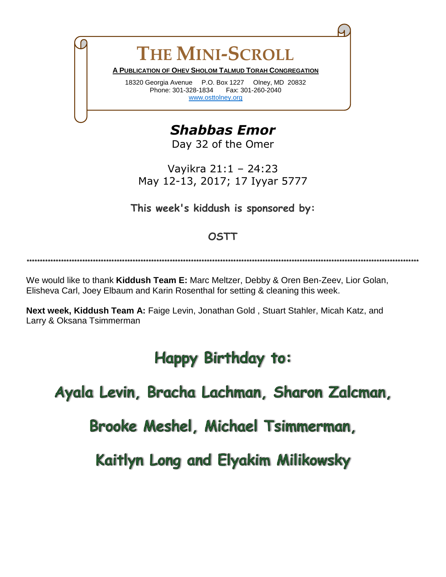**THE MINI-SCROLL A PUBLICATION OF OHEV SHOLOM TALMUD TORAH CONGREGATION**  18320 Georgia Avenue P.O. Box 1227 Olney, MD 20832 Phone: 301-328-1834 Fax: 301-260-2040

[www.osttolney.org](file:///G:/OSTT/mini-scroll/www.osttolney.org)

*Shabbas Emor*

Day 32 of the Omer

Vayikra 21:1 – 24:23 May 12-13, 2017; 17 Iyyar 5777

**This week's kiddush is sponsored by:**

## **OSTT**

**\*\*\*\*\*\*\*\*\*\*\*\*\*\*\*\*\*\*\*\*\*\*\*\*\*\*\*\*\*\*\*\*\*\*\*\*\*\*\*\*\*\*\*\*\*\*\*\*\*\*\*\*\*\*\*\*\*\*\*\*\*\*\*\*\*\*\*\*\*\*\*\*\*\*\*\*\*\*\*\*\*\*\*\*\*\*\*\*\*\*\*\*\*\*\*\*\*\*\*\*\*\*\*\*\*\*\*\*\*\*\*\*\*\*\*\*\*\*\*\*\*\*\*\*\*\*\*\*\*\*\*\*\*\*\*\*\*\*\*\*\*\*\*\*\*\*\*\***

We would like to thank **Kiddush Team E:** Marc Meltzer, Debby & Oren Ben-Zeev, Lior Golan, Elisheva Carl, Joey Elbaum and Karin Rosenthal for setting & cleaning this week.

**Next week, Kiddush Team A:** Faige Levin, Jonathan Gold , Stuart Stahler, Micah Katz, and Larry & Oksana Tsimmerman

## **Happy Birthday to:**

Ayala Levin, Bracha Lachman, Sharon Zalcman,

Brooke Meshel, Michael Tsimmerman,

Kaitlyn Long and Elyakim Milikowsky